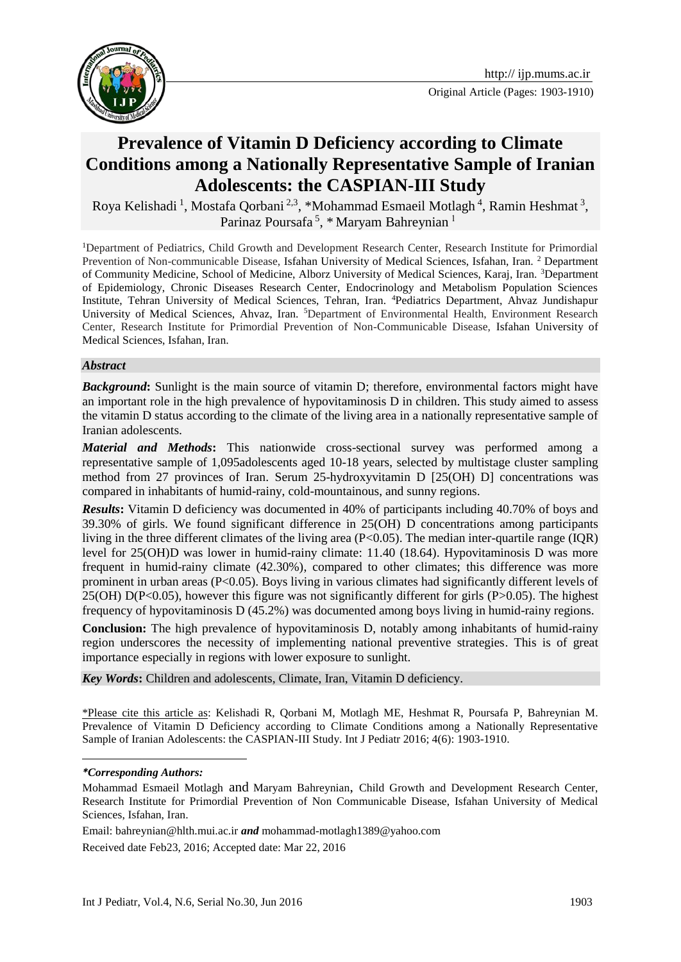

# **Prevalence of Vitamin D Deficiency according to Climate Conditions among a Nationally Representative Sample of Iranian Adolescents: the CASPIAN-III Study**

Roya Kelishadi<sup>1</sup>, Mostafa Qorbani<sup>2,3</sup>, \*Mohammad Esmaeil Motlagh<sup>4</sup>, Ramin Heshmat<sup>3</sup>, Parinaz Poursafa<sup>5</sup>, \* Maryam Bahreynian<sup>1</sup>

<sup>1</sup>Department of Pediatrics, Child Growth and Development Research Center, Research Institute for Primordial Prevention of Non-communicable Disease, Isfahan University of Medical Sciences, Isfahan, Iran. <sup>2</sup> Department of Community Medicine, School of Medicine, Alborz University of Medical Sciences, Karaj, Iran. <sup>3</sup>Department of Epidemiology, Chronic Diseases Research Center, Endocrinology and Metabolism Population Sciences Institute, Tehran University of Medical Sciences, Tehran, Iran. <sup>4</sup>Pediatrics Department, Ahvaz Jundishapur University of Medical Sciences, Ahvaz, Iran. <sup>5</sup>Department of Environmental Health, Environment Research Center, Research Institute for Primordial Prevention of Non-Communicable Disease, Isfahan University of Medical Sciences, Isfahan, Iran.

#### *Abstract*

**Background:** Sunlight is the main source of vitamin D; therefore, environmental factors might have an important role in the high prevalence of hypovitaminosis D in children. This study aimed to assess the vitamin D status according to the climate of the living area in a nationally representative sample of Iranian adolescents.

*Material and Methods***:** This nationwide cross-sectional survey was performed among a representative sample of 1,095adolescents aged 10-18 years, selected by multistage cluster sampling method from 27 provinces of Iran. Serum 25-hydroxyvitamin D [25(OH) D] concentrations was compared in inhabitants of humid-rainy, cold-mountainous, and sunny regions.

*Results*: Vitamin D deficiency was documented in 40% of participants including 40.70% of boys and 39.30% of girls. We found significant difference in 25(OH) D concentrations among participants living in the three different climates of the living area (P<0.05). The median inter-quartile range (IOR) level for 25(OH)D was lower in humid-rainy climate: 11.40 (18.64). Hypovitaminosis D was more frequent in humid-rainy climate (42.30%), compared to other climates; this difference was more prominent in urban areas (P<0.05). Boys living in various climates had significantly different levels of 25(OH) D(P<0.05), however this figure was not significantly different for girls (P>0.05). The highest frequency of hypovitaminosis D (45.2%) was documented among boys living in humid-rainy regions.

**Conclusion:** The high prevalence of hypovitaminosis D, notably among inhabitants of humid-rainy region underscores the necessity of implementing national preventive strategies. This is of great importance especially in regions with lower exposure to sunlight.

*Key Words***:** Children and [adolescents](https://www.ncbi.nlm.nih.gov/mesh/68000293), Climate, Iran, Vitamin D deficiency.

\*Please cite this article as: Kelishadi R, Qorbani M, Motlagh ME, Heshmat R, Poursafa P, Bahreynian M. Prevalence of Vitamin D Deficiency according to Climate Conditions among a Nationally Representative Sample of Iranian Adolescents: the CASPIAN-III Study. Int J Pediatr 2016; 4(6): 1903-1910.

1

Email: [bahreynian@hlth.mui.ac.ir](mailto:bahreynian@hlth.mui.ac.ir) *and* mohammad-motlagh1389@yahoo.com Received date Feb23, 2016; Accepted date: Mar 22, 2016

*<sup>\*</sup>Corresponding Authors:*

Mohammad Esmaeil Motlagh and Maryam Bahreynian, Child Growth and Development Research Center, Research Institute for Primordial Prevention of Non Communicable Disease, Isfahan University of Medical Sciences, Isfahan, Iran.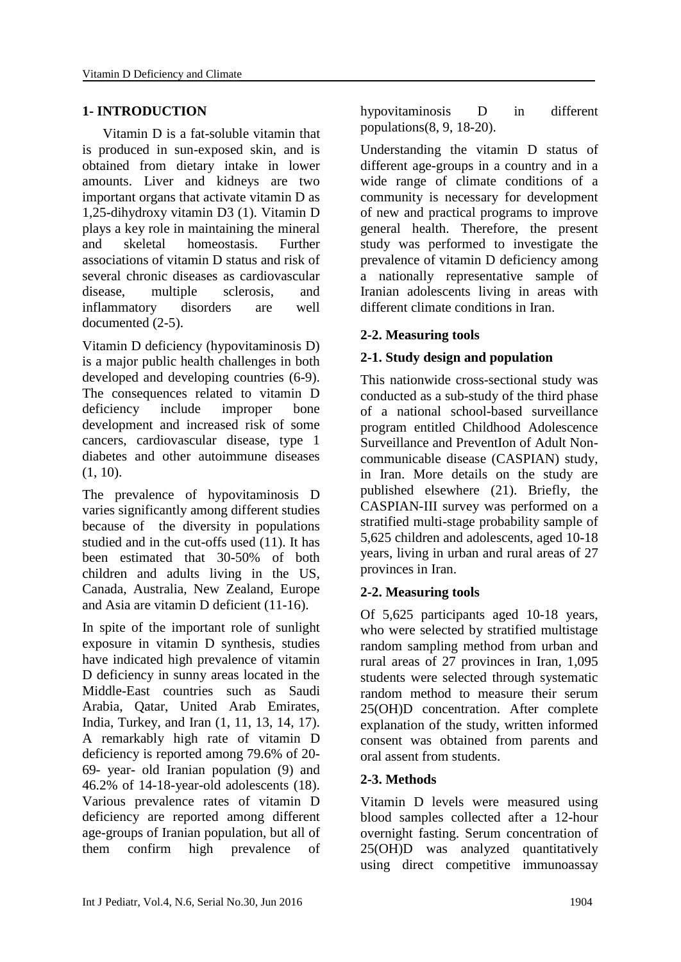### **1- INTRODUCTION**

 Vitamin D is a fat-soluble vitamin that is produced in sun-exposed skin, and is obtained from dietary intake in lower amounts. Liver and kidneys are two important organs that activate vitamin D as 1,25-dihydroxy vitamin D3 [\(1\)](#page-5-0). Vitamin D plays a key role in maintaining the mineral and skeletal homeostasis. Further associations of vitamin D status and risk of several chronic diseases as cardiovascular disease, multiple sclerosis, and inflammatory disorders are well documented [\(2-5\)](#page-5-1).

Vitamin D deficiency (hypovitaminosis D) is a major public health challenges in both developed and developing countries [\(6-9\)](#page-5-2). The consequences related to vitamin D deficiency include improper bone development and increased risk of some cancers, cardiovascular disease, type 1 diabetes and other autoimmune diseases  $(1, 10)$  $(1, 10)$ .

The prevalence of hypovitaminosis D varies significantly among different studies because of the diversity in populations studied and in the cut-offs used [\(11\)](#page-6-1). It has been estimated that 30-50% of both children and adults living in the US, Canada, Australia, New Zealand, Europe and Asia are vitamin D deficient [\(11-16\)](#page-6-1).

In spite of the important role of sunlight exposure in vitamin D synthesis, studies have indicated high prevalence of vitamin D deficiency in sunny areas located in the Middle-East countries such as Saudi Arabia, Qatar, United Arab Emirates, India, Turkey, and Iran [\(1,](#page-5-0) [11,](#page-6-1) [13,](#page-6-2) [14,](#page-6-3) [17\)](#page-6-4). A remarkably high rate of vitamin D deficiency is reported among 79.6% of 20- 69- year- old Iranian population [\(9\)](#page-5-3) and 46.2% of 14-18-year-old adolescents [\(18\)](#page-6-5). Various prevalence rates of vitamin D deficiency are reported among different age-groups of Iranian population, but all of them confirm high prevalence of hypovitaminosis D in different populations[\(8,](#page-5-4) [9,](#page-5-3) [18-20\)](#page-6-5).

Understanding the vitamin D status of different age-groups in a country and in a wide range of climate conditions of a community is necessary for development of new and practical programs to improve general health. Therefore, the present study was performed to investigate the prevalence of vitamin D deficiency among a nationally representative sample of Iranian adolescents living in areas with different climate conditions in Iran.

# **2-2. Measuring tools**

# **2-1. Study design and population**

This nationwide cross-sectional study was conducted as a sub-study of the third phase of a national school-based surveillance program entitled Childhood Adolescence Surveillance and PreventIon of Adult Noncommunicable disease (CASPIAN) study, in Iran. More details on the study are published elsewhere [\(21\)](#page-6-6). Briefly, the CASPIAN-III survey was performed on a stratified multi-stage probability sample of 5,625 children and adolescents, aged 10-18 years, living in urban and rural areas of 27 provinces in Iran.

# **2-2. Measuring tools**

Of 5,625 participants aged 10-18 years, who were selected by stratified multistage random sampling method from urban and rural areas of 27 provinces in Iran, 1,095 students were selected through systematic random method to measure their serum 25(OH)D concentration. After complete explanation of the study, written informed consent was obtained from parents and oral assent from students.

# **2-3. Methods**

Vitamin D levels were measured using blood samples collected after a 12-hour overnight fasting. Serum concentration of 25(OH)D was analyzed quantitatively using direct competitive immunoassay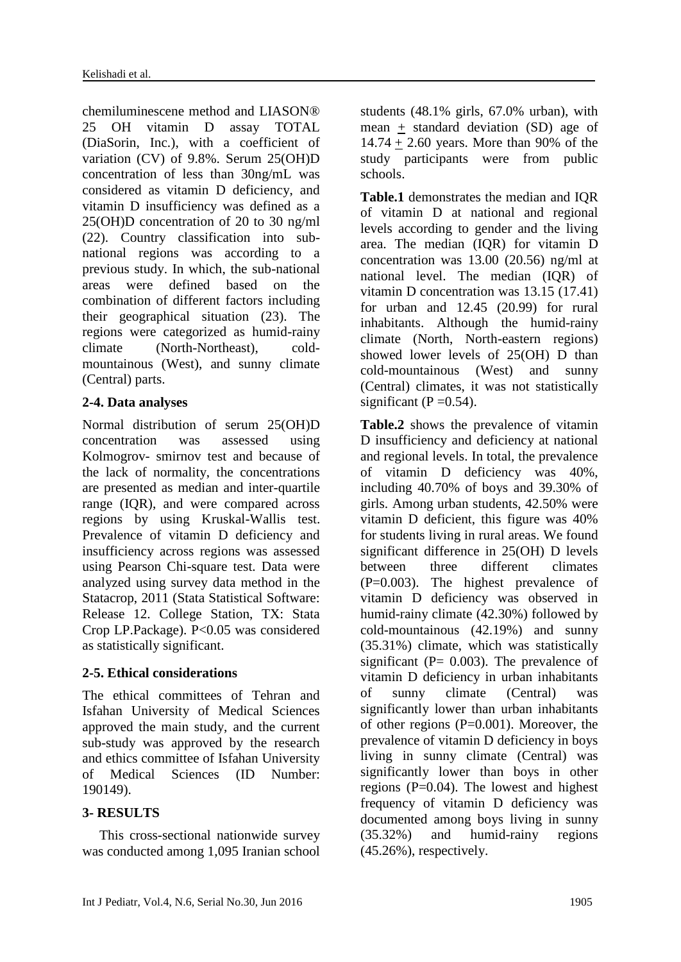chemiluminescene method and LIASON® 25 OH vitamin D assay TOTAL (DiaSorin, Inc.), with a coefficient of variation (CV) of 9.8%. Serum 25(OH)D concentration of less than 30ng/mL was considered as vitamin D deficiency, and vitamin D insufficiency was defined as a 25(OH)D concentration of 20 to 30 ng/ml [\(22\)](#page-6-7). Country classification into subnational regions was according to a previous study. In which, the sub-national areas were defined based on the combination of different factors including their geographical situation [\(23\)](#page-6-8). The regions were categorized as humid-rainy climate (North-Northeast), coldmountainous (West), and sunny climate (Central) parts.

# **2-4. Data analyses**

Normal distribution of serum 25(OH)D concentration was assessed using Kolmogrov- smirnov test and because of the lack of normality, the concentrations are presented as median and inter-quartile range (IQR), and were compared across regions by using Kruskal-Wallis test. Prevalence of vitamin D deficiency and insufficiency across regions was assessed using Pearson Chi-square test. Data were analyzed using survey data method in the Statacrop, 2011 (Stata Statistical Software: Release 12. College Station, TX: Stata Crop LP.Package). P<0.05 was considered as statistically significant.

# **2-5. Ethical considerations**

The ethical committees of Tehran and Isfahan University of Medical Sciences approved the main study, and the current sub-study was approved by the research and ethics committee of Isfahan University of Medical Sciences (ID Number: 190149).

# **3- RESULTS**

 This cross-sectional nationwide survey was conducted among 1,095 Iranian school

students (48.1% girls, 67.0% urban), with mean + standard deviation (SD) age of 14.74 + 2.60 years. More than 90% of the study participants were from public schools.

**[Table.1](http://www.sciencedirect.com/science/article/pii/S1875957214001971#tbl1)** demonstrates the median and IQR of vitamin D at national and regional levels according to gender and the living area. The median (IQR) for vitamin D concentration was 13.00 (20.56) ng/ml at national level. The median (IQR) of vitamin D concentration was 13.15 (17.41) for urban and 12.45 (20.99) for rural inhabitants. Although the humid-rainy climate (North, North-eastern regions) showed lower levels of 25(OH) D than cold-mountainous (West) and sunny (Central) climates, it was not statistically significant ( $P = 0.54$ ).

**Table.2** shows the prevalence of vitamin D insufficiency and deficiency at national and regional levels. In total, the prevalence of vitamin D deficiency was 40%, including 40.70% of boys and 39.30% of girls. Among urban students, 42.50% were vitamin D deficient, this figure was 40% for students living in rural areas. We found significant difference in 25(OH) D levels between three different climates (P=0.003). The highest prevalence of vitamin D deficiency was observed in humid-rainy climate (42.30%) followed by cold-mountainous (42.19%) and sunny (35.31%) climate, which was statistically significant ( $P = 0.003$ ). The prevalence of vitamin D deficiency in urban inhabitants of sunny climate (Central) was significantly lower than urban inhabitants of other regions (P=0.001). Moreover, the prevalence of vitamin D deficiency in boys living in sunny climate (Central) was significantly lower than boys in other regions (P=0.04). The lowest and highest frequency of vitamin D deficiency was documented among boys living in sunny (35.32%) and humid-rainy regions  $(45.26\%)$ , respectively.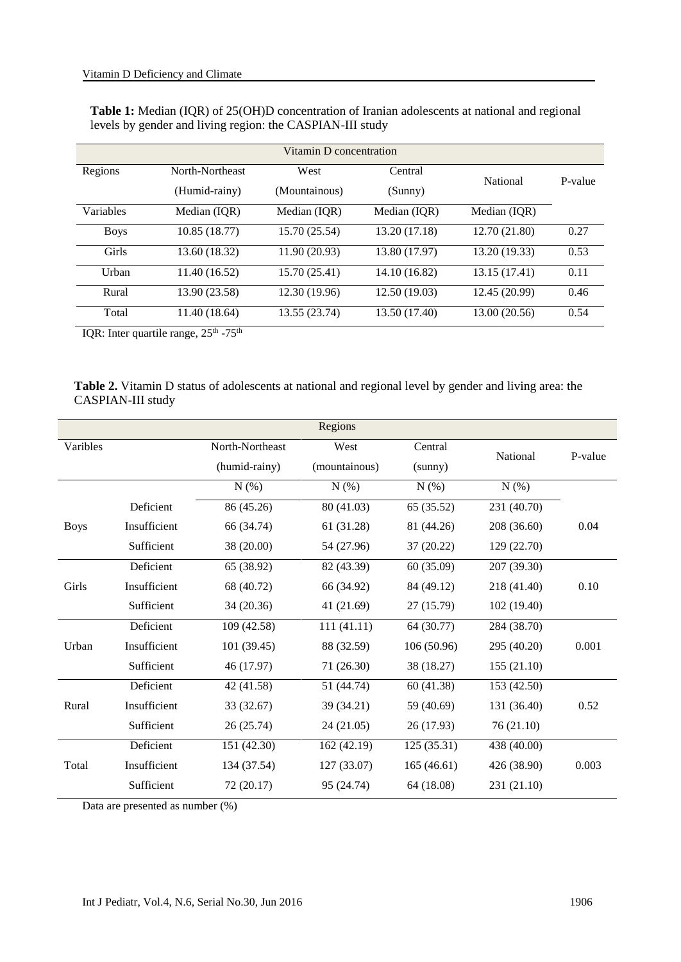| <b>Table 1:</b> Median (IQR) of 25(OH)D concentration of Iranian adolescents at national and regional |
|-------------------------------------------------------------------------------------------------------|
| levels by gender and living region: the CASPIAN-III study                                             |

| Vitamin D concentration |                 |               |               |               |         |  |  |
|-------------------------|-----------------|---------------|---------------|---------------|---------|--|--|
| Regions                 | North-Northeast | West          | Central       |               | P-value |  |  |
|                         | (Humid-rainy)   | (Mountainous) | (Sunny)       | National      |         |  |  |
| Variables               | Median (IQR)    | Median (IQR)  | Median (IQR)  | Median (IQR)  |         |  |  |
| <b>Boys</b>             | 10.85(18.77)    | 15.70 (25.54) | 13.20 (17.18) | 12.70 (21.80) | 0.27    |  |  |
| Girls                   | 13.60 (18.32)   | 11.90 (20.93) | 13.80 (17.97) | 13.20 (19.33) | 0.53    |  |  |
| Urban                   | 11.40 (16.52)   | 15.70 (25.41) | 14.10 (16.82) | 13.15 (17.41) | 0.11    |  |  |
| Rural                   | 13.90 (23.58)   | 12.30 (19.96) | 12.50(19.03)  | 12.45 (20.99) | 0.46    |  |  |
| Total                   | 11.40 (18.64)   | 13.55 (23.74) | 13.50 (17.40) | 13.00 (20.56) | 0.54    |  |  |

IQR: Inter quartile range,  $25<sup>th</sup> - 75<sup>th</sup>$ 

|                   | <b>Table 2.</b> Vitamin D status of adolescents at national and regional level by gender and living area: the |  |  |  |
|-------------------|---------------------------------------------------------------------------------------------------------------|--|--|--|
| CASPIAN-III study |                                                                                                               |  |  |  |

| Regions     |              |                 |               |             |             |         |  |
|-------------|--------------|-----------------|---------------|-------------|-------------|---------|--|
| Varibles    |              | North-Northeast | West          | Central     | National    | P-value |  |
|             |              | (humid-rainy)   | (mountainous) |             |             |         |  |
|             |              | N(%)            | N(%)          | N(%)        | N(%)        |         |  |
|             | Deficient    | 86 (45.26)      | 80 (41.03)    | 65 (35.52)  | 231 (40.70) |         |  |
| <b>Boys</b> | Insufficient | 66 (34.74)      | 61 (31.28)    | 81 (44.26)  | 208 (36.60) | 0.04    |  |
|             | Sufficient   | 38 (20.00)      | 54 (27.96)    | 37(20.22)   | 129 (22.70) |         |  |
| Girls       | Deficient    | 65 (38.92)      | 82 (43.39)    | 60(35.09)   | 207 (39.30) |         |  |
|             | Insufficient | 68 (40.72)      | 66 (34.92)    | 84 (49.12)  | 218 (41.40) | 0.10    |  |
|             | Sufficient   | 34 (20.36)      | 41 (21.69)    | 27 (15.79)  | 102 (19.40) |         |  |
| Urban       | Deficient    | 109 (42.58)     | 111(41.11)    | 64 (30.77)  | 284 (38.70) |         |  |
|             | Insufficient | 101 (39.45)     | 88 (32.59)    | 106 (50.96) | 295 (40.20) | 0.001   |  |
|             | Sufficient   | 46 (17.97)      | 71 (26.30)    | 38 (18.27)  | 155(21.10)  |         |  |
| Rural       | Deficient    | 42 (41.58)      | 51 (44.74)    | 60 (41.38)  | 153 (42.50) |         |  |
|             | Insufficient | 33 (32.67)      | 39 (34.21)    | 59 (40.69)  | 131 (36.40) | 0.52    |  |
|             | Sufficient   | 26 (25.74)      | 24(21.05)     | 26 (17.93)  | 76 (21.10)  |         |  |
| Total       | Deficient    | 151 (42.30)     | 162 (42.19)   | 125(35.31)  | 438 (40.00) |         |  |
|             | Insufficient | 134 (37.54)     | 127 (33.07)   | 165(46.61)  | 426 (38.90) | 0.003   |  |
|             | Sufficient   | 72 (20.17)      | 95 (24.74)    | 64 (18.08)  | 231 (21.10) |         |  |

Data are presented as number (%)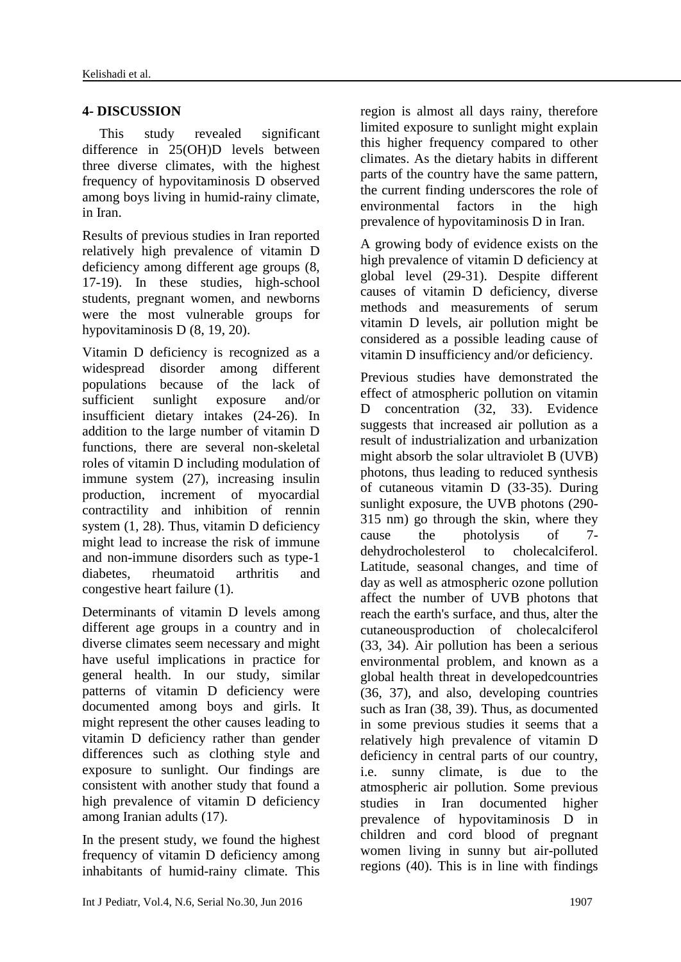# **4- DISCUSSION**

 This study revealed significant difference in 25(OH)D levels between three diverse climates, with the highest frequency of hypovitaminosis D observed among boys living in humid-rainy climate, in Iran.

Results of previous studies in Iran reported relatively high prevalence of vitamin D deficiency among different age groups [\(8,](#page-5-4) [17-19\)](#page-6-4). In these studies, high-school students, pregnant women, and newborns were the most vulnerable groups for hypovitaminosis D [\(8,](#page-5-4) [19,](#page-6-9) [20\)](#page-6-10).

Vitamin D deficiency is recognized as a widespread disorder among different populations because of the lack of sufficient sunlight exposure and/or insufficient dietary intakes [\(24-26\)](#page-6-11). In addition to the large number of vitamin D functions, there are several non-skeletal roles of vitamin D including modulation of immune system [\(27\)](#page-7-0), increasing insulin production, increment of myocardial contractility and inhibition of rennin system [\(1,](#page-5-0) [28\)](#page-7-1). Thus, vitamin D deficiency might lead to increase the risk of immune and non-immune disorders such as type-1 diabetes, rheumatoid arthritis and congestive heart failure [\(1\)](#page-5-0).

Determinants of vitamin D levels among different age groups in a country and in diverse climates seem necessary and might have useful implications in practice for general health. In our study, similar patterns of vitamin D deficiency were documented among boys and girls. It might represent the other causes leading to vitamin D deficiency rather than gender differences such as clothing style and exposure to sunlight. Our findings are consistent with another study that found a high prevalence of vitamin D deficiency among Iranian adults [\(17\)](#page-6-4).

In the present study, we found the highest frequency of vitamin D deficiency among inhabitants of humid-rainy climate. This

Int J Pediatr, Vol.4, N.6, Serial No.30, Jun 2016 1907

region is almost all days rainy, therefore limited exposure to sunlight might explain this higher frequency compared to other climates. As the dietary habits in different parts of the country have the same pattern, the current finding underscores the role of environmental factors in the high prevalence of hypovitaminosis D in Iran.

A growing body of evidence exists on the high prevalence of vitamin D deficiency at global level [\(29-31\)](#page-7-2). Despite different causes of vitamin D deficiency, diverse methods and measurements of serum vitamin D levels, air pollution might be considered as a possible leading cause of vitamin D insufficiency and/or deficiency.

Previous studies have demonstrated the effect of atmospheric pollution on vitamin D concentration [\(32,](#page-7-3) [33\)](#page-7-4). Evidence suggests that increased air pollution as a result of industrialization and urbanization might absorb the solar ultraviolet B (UVB) photons, thus leading to reduced synthesis of cutaneous vitamin D [\(33-35\)](#page-7-4). During sunlight exposure, the UVB photons (290- 315 nm) go through the skin, where they cause the photolysis of 7-<br>dehydrocholesterol to cholecalciferol. dehydrocholesterol to Latitude, seasonal changes, and time of day as well as atmospheric ozone pollution affect the number of UVB photons that reach the earth's surface, and thus, alter the cutaneousproduction of cholecalciferol [\(33,](#page-7-4) [34\)](#page-7-5). Air pollution has been a serious environmental problem, and known as a global health threat in developedcountries [\(36,](#page-7-6) [37\)](#page-7-7), and also, developing countries such as Iran [\(38,](#page-7-8) [39\)](#page-7-9). Thus, as documented in some previous studies it seems that a relatively high prevalence of vitamin D deficiency in central parts of our country, i.e. sunny climate, is due to the atmospheric air pollution. Some previous studies in Iran documented higher prevalence of hypovitaminosis D in children and cord blood of pregnant women living in sunny but air-polluted regions [\(40\)](#page-7-10). This is in line with findings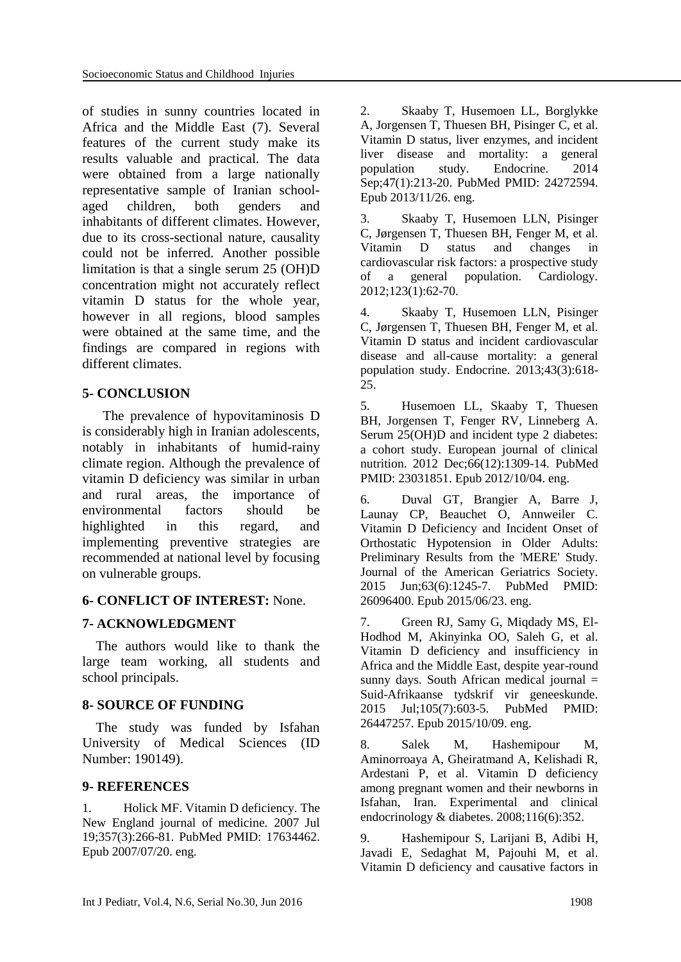of studies in sunny countries located in Africa and the Middle East [\(7\)](#page-5-5). Several features of the current study make its results valuable and practical. The data were obtained from a large nationally representative sample of Iranian schoolaged children, both genders and inhabitants of different climates. However, due to its cross-sectional nature, causality could not be inferred. Another possible limitation is that a single serum 25 (OH)D concentration might not accurately reflect vitamin D status for the whole year, however in all regions, blood samples were obtained at the same time, and the findings are compared in regions with different climates.

### **5- CONCLUSION**

 The prevalence of hypovitaminosis D is considerably high in Iranian adolescents, notably in inhabitants of humid-rainy climate region. Although the prevalence of vitamin D deficiency was similar in urban and rural areas, the importance of environmental factors should be highlighted in this regard, and implementing preventive strategies are recommended at national level by focusing on vulnerable groups.

### **6- CONFLICT OF INTEREST:** None.

### **7- ACKNOWLEDGMENT**

 The authors would like to thank the large team working, all students and school principals.

### **8- SOURCE OF FUNDING**

 The study was funded by Isfahan University of Medical Sciences (ID Number: 190149).

### **9- REFERENCES**

<span id="page-5-0"></span>1. Holick MF. Vitamin D deficiency. The New England journal of medicine. 2007 Jul 19;357(3):266-81. PubMed PMID: 17634462. Epub 2007/07/20. eng.

<span id="page-5-1"></span>2. Skaaby T, Husemoen LL, Borglykke A, Jorgensen T, Thuesen BH, Pisinger C, et al. Vitamin D status, liver enzymes, and incident liver disease and mortality: a general population study. Endocrine. 2014 Sep;47(1):213-20. PubMed PMID: 24272594. Epub 2013/11/26. eng.

3. Skaaby T, Husemoen LLN, Pisinger C, Jørgensen T, Thuesen BH, Fenger M, et al.<br>Vitamin D status and changes in Vitamin D status and changes in cardiovascular risk factors: a prospective study of a general population. Cardiology. 2012;123(1):62-70.

4. Skaaby T, Husemoen LLN, Pisinger C, Jørgensen T, Thuesen BH, Fenger M, et al. Vitamin D status and incident cardiovascular disease and all-cause mortality: a general population study. Endocrine. 2013;43(3):618- 25.

5. Husemoen LL, Skaaby T, Thuesen BH, Jorgensen T, Fenger RV, Linneberg A. Serum 25(OH)D and incident type 2 diabetes: a cohort study. European journal of clinical nutrition. 2012 Dec;66(12):1309-14. PubMed PMID: 23031851. Epub 2012/10/04. eng.

<span id="page-5-2"></span>6. Duval GT, Brangier A, Barre J, Launay CP, Beauchet O, Annweiler C. Vitamin D Deficiency and Incident Onset of Orthostatic Hypotension in Older Adults: Preliminary Results from the 'MERE' Study. Journal of the American Geriatrics Society. 2015 Jun;63(6):1245-7. PubMed PMID: 26096400. Epub 2015/06/23. eng.

<span id="page-5-5"></span>7. Green RJ, Samy G, Miqdady MS, El-Hodhod M, Akinyinka OO, Saleh G, et al. Vitamin D deficiency and insufficiency in Africa and the Middle East, despite year-round sunny days. South African medical journal  $=$ Suid-Afrikaanse tydskrif vir geneeskunde. 2015 Jul;105(7):603-5. PubMed PMID: 26447257. Epub 2015/10/09. eng.

<span id="page-5-4"></span>8. Salek M, Hashemipour M, Aminorroaya A, Gheiratmand A, Kelishadi R, Ardestani P, et al. Vitamin D deficiency among pregnant women and their newborns in Isfahan, Iran. Experimental and clinical endocrinology & diabetes. 2008;116(6):352.

<span id="page-5-3"></span>9. Hashemipour S, Larijani B, Adibi H, Javadi E, Sedaghat M, Pajouhi M, et al. Vitamin D deficiency and causative factors in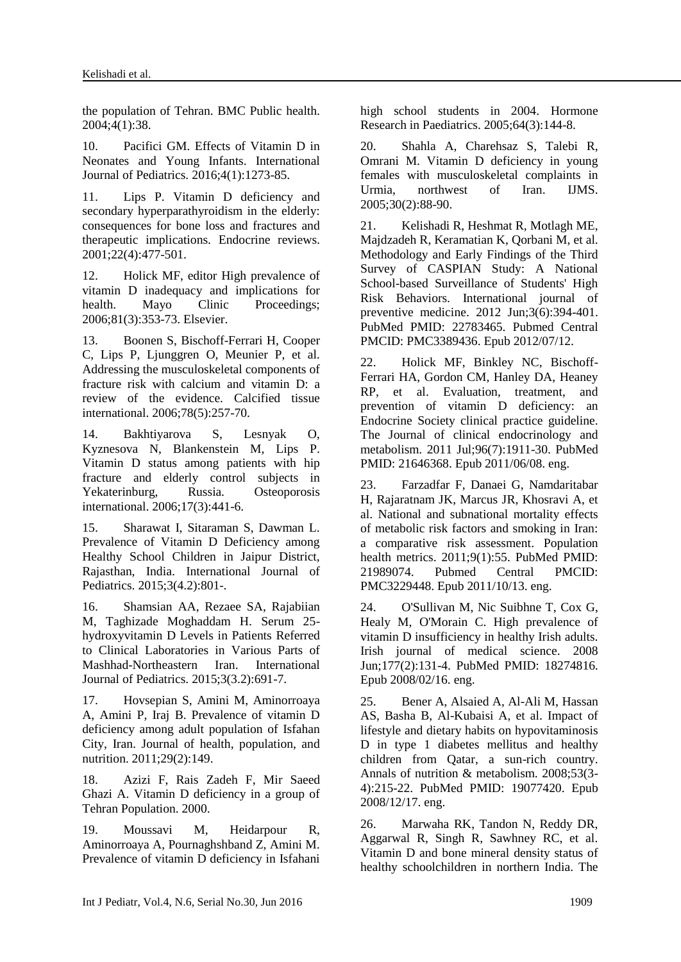the population of Tehran. BMC Public health. 2004;4(1):38.

<span id="page-6-0"></span>10. Pacifici GM. Effects of Vitamin D in Neonates and Young Infants. International Journal of Pediatrics. 2016;4(1):1273-85.

<span id="page-6-1"></span>11. Lips P. Vitamin D deficiency and secondary hyperparathyroidism in the elderly: consequences for bone loss and fractures and therapeutic implications. Endocrine reviews. 2001;22(4):477-501.

12. Holick MF, editor High prevalence of vitamin D inadequacy and implications for health. Mayo Clinic Proceedings; 2006;81(3):353-73. Elsevier.

<span id="page-6-2"></span>13. Boonen S, Bischoff-Ferrari H, Cooper C, Lips P, Ljunggren O, Meunier P, et al. Addressing the musculoskeletal components of fracture risk with calcium and vitamin D: a review of the evidence. Calcified tissue international. 2006;78(5):257-70.

<span id="page-6-3"></span>14. Bakhtiyarova S, Lesnyak O, Kyznesova N, Blankenstein M, Lips P. Vitamin D status among patients with hip fracture and elderly control subjects in Yekaterinburg, Russia. Osteoporosis international. 2006;17(3):441-6.

15. Sharawat I, Sitaraman S, Dawman L. Prevalence of Vitamin D Deficiency among Healthy School Children in Jaipur District, Rajasthan, India. International Journal of Pediatrics. 2015;3(4.2):801-.

16. Shamsian AA, Rezaee SA, Rajabiian M, Taghizade Moghaddam H. Serum 25 hydroxyvitamin D Levels in Patients Referred to Clinical Laboratories in Various Parts of Mashhad-Northeastern Iran. International Journal of Pediatrics. 2015;3(3.2):691-7.

<span id="page-6-4"></span>17. Hovsepian S, Amini M, Aminorroaya A, Amini P, Iraj B. Prevalence of vitamin D deficiency among adult population of Isfahan City, Iran. Journal of health, population, and nutrition. 2011;29(2):149.

<span id="page-6-5"></span>18. Azizi F, Rais [Zadeh](http://en.journals.sid.ir/SearchPaper.aspx?writer=7907) F, Mir Saeed Ghazi A. Vitamin D deficiency in a group of Tehran Population. 2000.

<span id="page-6-9"></span>19. Moussavi M, Heidarpour R, Aminorroaya A, Pournaghshband Z, Amini M. Prevalence of vitamin D deficiency in Isfahani high school students in 2004. Hormone Research in Paediatrics. 2005;64(3):144-8.

<span id="page-6-10"></span>20. Shahla A, Charehsaz S, Talebi R, Omrani M. Vitamin D deficiency in young females with musculoskeletal complaints in Urmia, northwest of Iran. IJMS. 2005;30(2):88-90.

<span id="page-6-6"></span>21. Kelishadi R, Heshmat R, Motlagh ME, Majdzadeh R, Keramatian K, Qorbani M, et al. Methodology and Early Findings of the Third Survey of CASPIAN Study: A National School-based Surveillance of Students' High Risk Behaviors. International journal of preventive medicine. 2012 Jun;3(6):394-401. PubMed PMID: 22783465. Pubmed Central PMCID: PMC3389436. Epub 2012/07/12.

<span id="page-6-7"></span>22. Holick MF, Binkley NC, Bischoff-Ferrari HA, Gordon CM, Hanley DA, Heaney RP, et al. Evaluation, treatment, and prevention of vitamin D deficiency: an Endocrine Society clinical practice guideline. The Journal of clinical endocrinology and metabolism. 2011 Jul;96(7):1911-30. PubMed PMID: 21646368. Epub 2011/06/08. eng.

<span id="page-6-8"></span>23. Farzadfar F, Danaei G, Namdaritabar H, Rajaratnam JK, Marcus JR, Khosravi A, et al. National and subnational mortality effects of metabolic risk factors and smoking in Iran: a comparative risk assessment. Population health metrics. 2011;9(1):55. PubMed PMID: 21989074. Pubmed Central PMCID: PMC3229448. Epub 2011/10/13. eng.

<span id="page-6-11"></span>24. O'Sullivan M, Nic Suibhne T, Cox G, Healy M, O'Morain C. High prevalence of vitamin D insufficiency in healthy Irish adults. Irish journal of medical science. 2008 Jun;177(2):131-4. PubMed PMID: 18274816. Epub 2008/02/16. eng.

25. Bener A, Alsaied A, Al-Ali M, Hassan AS, Basha B, Al-Kubaisi A, et al. Impact of lifestyle and dietary habits on hypovitaminosis D in type 1 diabetes mellitus and healthy children from Qatar, a sun-rich country. Annals of nutrition & metabolism. 2008;53(3- 4):215-22. PubMed PMID: 19077420. Epub 2008/12/17. eng.

26. Marwaha RK, Tandon N, Reddy DR, Aggarwal R, Singh R, Sawhney RC, et al. Vitamin D and bone mineral density status of healthy schoolchildren in northern India. The